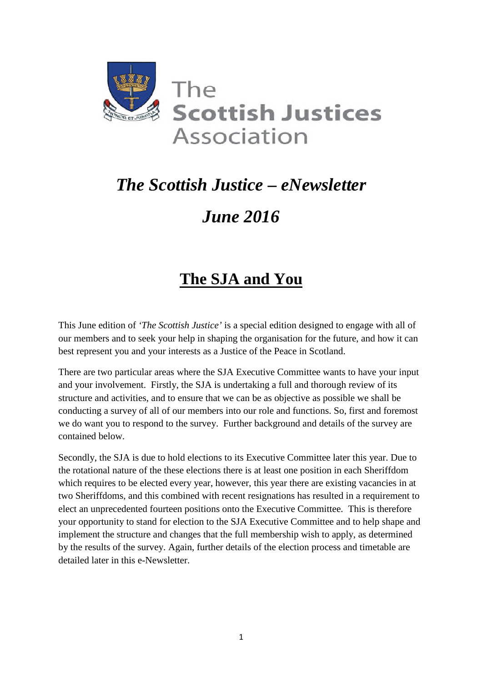

# *The Scottish Justice – eNewsletter June 2016*

## **The SJA and You**

This June edition of *'The Scottish Justice'* is a special edition designed to engage with all of our members and to seek your help in shaping the organisation for the future, and how it can best represent you and your interests as a Justice of the Peace in Scotland.

There are two particular areas where the SJA Executive Committee wants to have your input and your involvement. Firstly, the SJA is undertaking a full and thorough review of its structure and activities, and to ensure that we can be as objective as possible we shall be conducting a survey of all of our members into our role and functions. So, first and foremost we do want you to respond to the survey. Further background and details of the survey are contained below.

Secondly, the SJA is due to hold elections to its Executive Committee later this year. Due to the rotational nature of the these elections there is at least one position in each Sheriffdom which requires to be elected every year, however, this year there are existing vacancies in at two Sheriffdoms, and this combined with recent resignations has resulted in a requirement to elect an unprecedented fourteen positions onto the Executive Committee. This is therefore your opportunity to stand for election to the SJA Executive Committee and to help shape and implement the structure and changes that the full membership wish to apply, as determined by the results of the survey. Again, further details of the election process and timetable are detailed later in this e-Newsletter.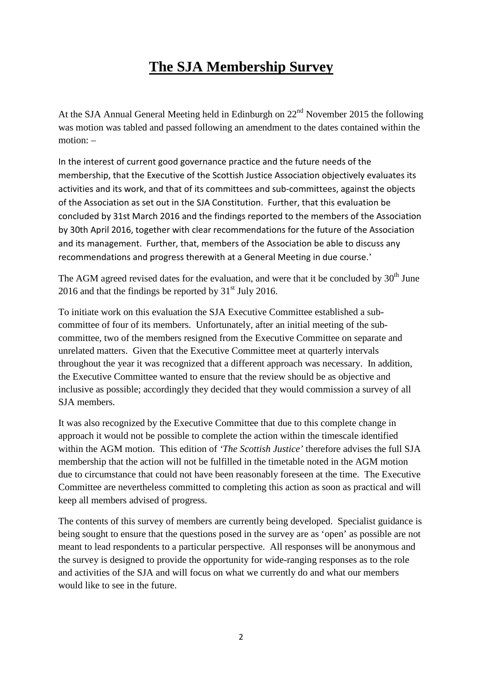### **The SJA Membership Survey**

At the SJA Annual General Meeting held in Edinburgh on  $22<sup>nd</sup>$  November 2015 the following was motion was tabled and passed following an amendment to the dates contained within the motion: –

In the interest of current good governance practice and the future needs of the membership, that the Executive of the Scottish Justice Association objectively evaluates its activities and its work, and that of its committees and sub-committees, against the objects of the Association as set out in the SJA Constitution. Further, that this evaluation be concluded by 31st March 2016 and the findings reported to the members of the Association by 30th April 2016, together with clear recommendations for the future of the Association and its management. Further, that, members of the Association be able to discuss any recommendations and progress therewith at a General Meeting in due course.'

The AGM agreed revised dates for the evaluation, and were that it be concluded by  $30<sup>th</sup>$  June 2016 and that the findings be reported by  $31<sup>st</sup>$  July 2016.

To initiate work on this evaluation the SJA Executive Committee established a subcommittee of four of its members. Unfortunately, after an initial meeting of the subcommittee, two of the members resigned from the Executive Committee on separate and unrelated matters. Given that the Executive Committee meet at quarterly intervals throughout the year it was recognized that a different approach was necessary. In addition, the Executive Committee wanted to ensure that the review should be as objective and inclusive as possible; accordingly they decided that they would commission a survey of all SJA members.

It was also recognized by the Executive Committee that due to this complete change in approach it would not be possible to complete the action within the timescale identified within the AGM motion. This edition of *'The Scottish Justice'* therefore advises the full SJA membership that the action will not be fulfilled in the timetable noted in the AGM motion due to circumstance that could not have been reasonably foreseen at the time. The Executive Committee are nevertheless committed to completing this action as soon as practical and will keep all members advised of progress.

The contents of this survey of members are currently being developed. Specialist guidance is being sought to ensure that the questions posed in the survey are as 'open' as possible are not meant to lead respondents to a particular perspective. All responses will be anonymous and the survey is designed to provide the opportunity for wide-ranging responses as to the role and activities of the SJA and will focus on what we currently do and what our members would like to see in the future.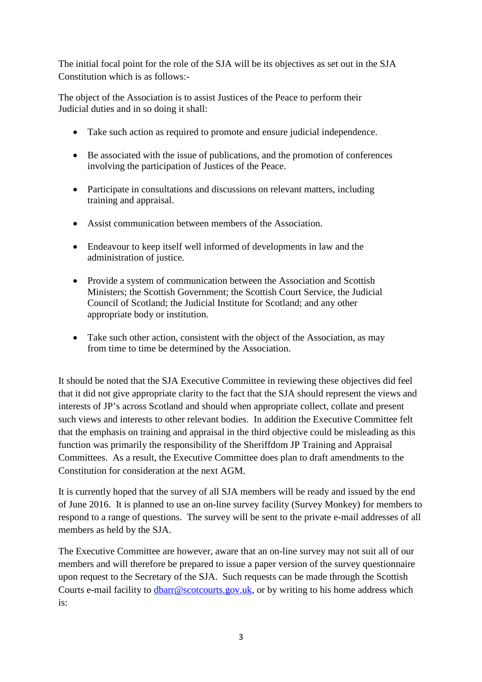The initial focal point for the role of the SJA will be its objectives as set out in the SJA Constitution which is as follows:-

The object of the Association is to assist Justices of the Peace to perform their Judicial duties and in so doing it shall:

- Take such action as required to promote and ensure judicial independence.
- Be associated with the issue of publications, and the promotion of conferences involving the participation of Justices of the Peace.
- Participate in consultations and discussions on relevant matters, including training and appraisal.
- Assist communication between members of the Association.
- Endeavour to keep itself well informed of developments in law and the administration of justice.
- Provide a system of communication between the Association and Scottish Ministers; the Scottish Government; the Scottish Court Service, the Judicial Council of Scotland; the Judicial Institute for Scotland; and any other appropriate body or institution.
- Take such other action, consistent with the object of the Association, as may from time to time be determined by the Association.

It should be noted that the SJA Executive Committee in reviewing these objectives did feel that it did not give appropriate clarity to the fact that the SJA should represent the views and interests of JP's across Scotland and should when appropriate collect, collate and present such views and interests to other relevant bodies. In addition the Executive Committee felt that the emphasis on training and appraisal in the third objective could be misleading as this function was primarily the responsibility of the Sheriffdom JP Training and Appraisal Committees. As a result, the Executive Committee does plan to draft amendments to the Constitution for consideration at the next AGM.

It is currently hoped that the survey of all SJA members will be ready and issued by the end of June 2016. It is planned to use an on-line survey facility (Survey Monkey) for members to respond to a range of questions. The survey will be sent to the private e-mail addresses of all members as held by the SJA.

The Executive Committee are however, aware that an on-line survey may not suit all of our members and will therefore be prepared to issue a paper version of the survey questionnaire upon request to the Secretary of the SJA. Such requests can be made through the Scottish Courts e-mail facility to dbarr@scotcourts.gov.uk, or by writing to his home address which is: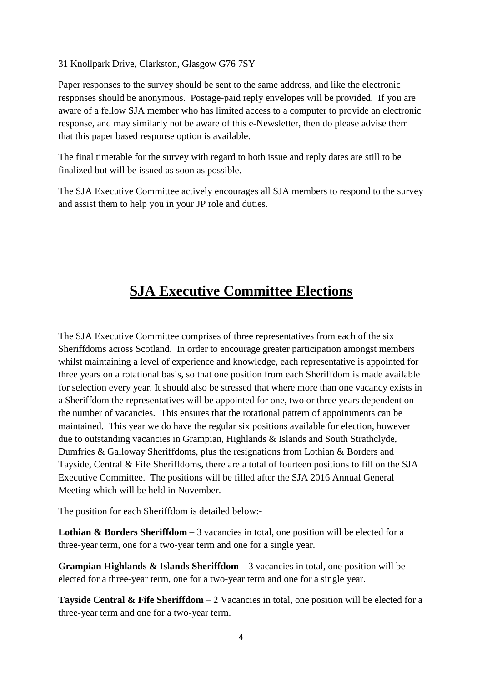31 Knollpark Drive, Clarkston, Glasgow G76 7SY

Paper responses to the survey should be sent to the same address, and like the electronic responses should be anonymous. Postage-paid reply envelopes will be provided. If you are aware of a fellow SJA member who has limited access to a computer to provide an electronic response, and may similarly not be aware of this e-Newsletter, then do please advise them that this paper based response option is available.

The final timetable for the survey with regard to both issue and reply dates are still to be finalized but will be issued as soon as possible.

The SJA Executive Committee actively encourages all SJA members to respond to the survey and assist them to help you in your JP role and duties.

### **SJA Executive Committee Elections**

The SJA Executive Committee comprises of three representatives from each of the six Sheriffdoms across Scotland. In order to encourage greater participation amongst members whilst maintaining a level of experience and knowledge, each representative is appointed for three years on a rotational basis, so that one position from each Sheriffdom is made available for selection every year. It should also be stressed that where more than one vacancy exists in a Sheriffdom the representatives will be appointed for one, two or three years dependent on the number of vacancies. This ensures that the rotational pattern of appointments can be maintained. This year we do have the regular six positions available for election, however due to outstanding vacancies in Grampian, Highlands & Islands and South Strathclyde, Dumfries & Galloway Sheriffdoms, plus the resignations from Lothian & Borders and Tayside, Central & Fife Sheriffdoms, there are a total of fourteen positions to fill on the SJA Executive Committee. The positions will be filled after the SJA 2016 Annual General Meeting which will be held in November.

The position for each Sheriffdom is detailed below:-

**Lothian & Borders Sheriffdom –** 3 vacancies in total, one position will be elected for a three-year term, one for a two-year term and one for a single year.

**Grampian Highlands & Islands Sheriffdom – 3 vacancies in total, one position will be** elected for a three-year term, one for a two-year term and one for a single year.

**Tayside Central & Fife Sheriffdom** – 2 Vacancies in total, one position will be elected for a three-year term and one for a two-year term.